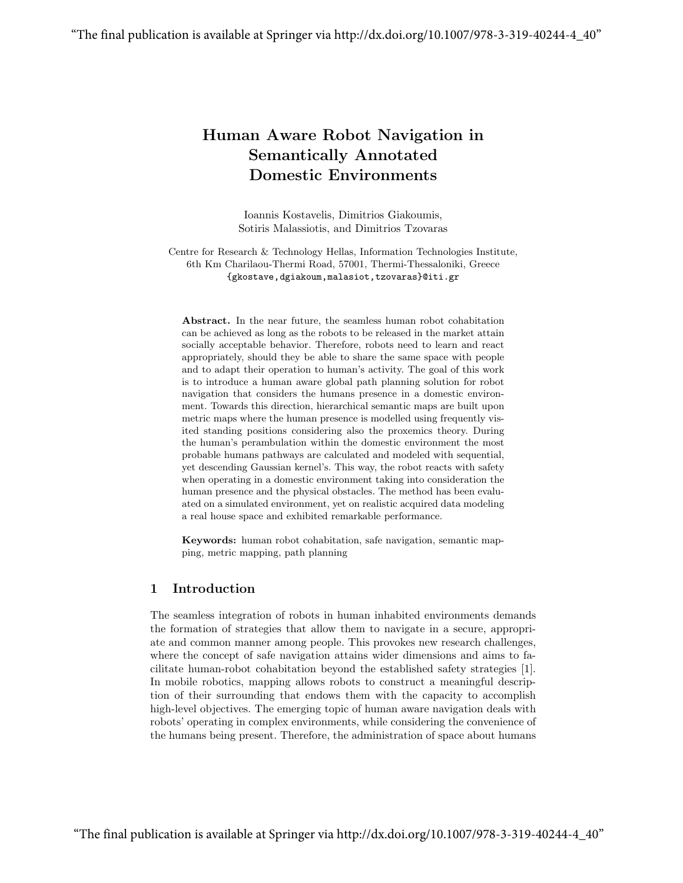# Human Aware Robot Navigation in Semantically Annotated Domestic Environments

Ioannis Kostavelis, Dimitrios Giakoumis, Sotiris Malassiotis, and Dimitrios Tzovaras

Centre for Research & Technology Hellas, Information Technologies Institute, 6th Km Charilaou-Thermi Road, 57001, Thermi-Thessaloniki, Greece {gkostave,dgiakoum,malasiot,tzovaras}@iti.gr

Abstract. In the near future, the seamless human robot cohabitation can be achieved as long as the robots to be released in the market attain socially acceptable behavior. Therefore, robots need to learn and react appropriately, should they be able to share the same space with people and to adapt their operation to human's activity. The goal of this work is to introduce a human aware global path planning solution for robot navigation that considers the humans presence in a domestic environment. Towards this direction, hierarchical semantic maps are built upon metric maps where the human presence is modelled using frequently visited standing positions considering also the proxemics theory. During the human's perambulation within the domestic environment the most probable humans pathways are calculated and modeled with sequential, yet descending Gaussian kernel's. This way, the robot reacts with safety when operating in a domestic environment taking into consideration the human presence and the physical obstacles. The method has been evaluated on a simulated environment, yet on realistic acquired data modeling a real house space and exhibited remarkable performance.

Keywords: human robot cohabitation, safe navigation, semantic mapping, metric mapping, path planning

## 1 Introduction

The seamless integration of robots in human inhabited environments demands the formation of strategies that allow them to navigate in a secure, appropriate and common manner among people. This provokes new research challenges, where the concept of safe navigation attains wider dimensions and aims to facilitate human-robot cohabitation beyond the established safety strategies [1]. In mobile robotics, mapping allows robots to construct a meaningful description of their surrounding that endows them with the capacity to accomplish high-level objectives. The emerging topic of human aware navigation deals with robots' operating in complex environments, while considering the convenience of the humans being present. Therefore, the administration of space about humans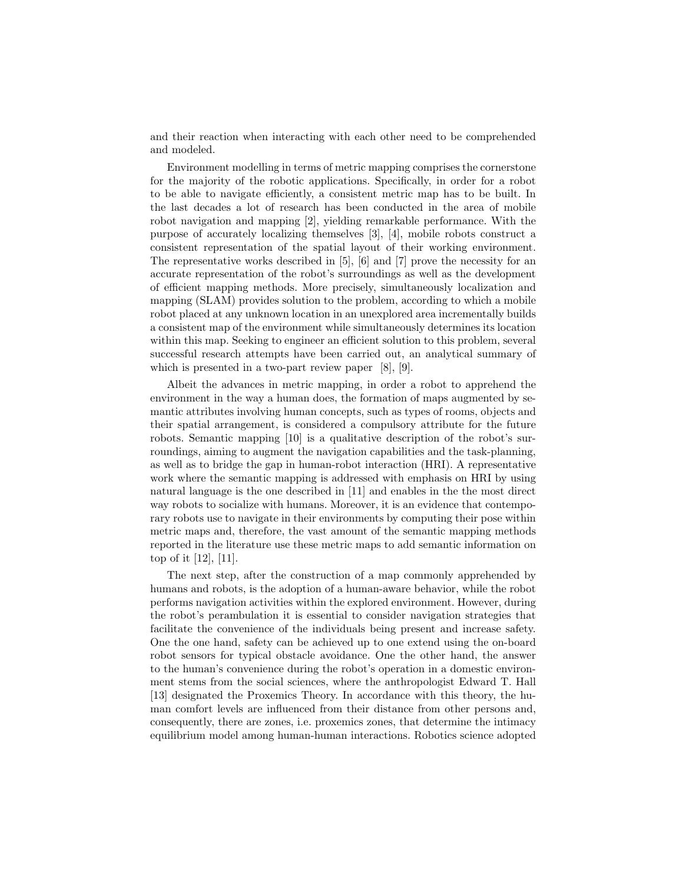and their reaction when interacting with each other need to be comprehended and modeled.

Environment modelling in terms of metric mapping comprises the cornerstone for the majority of the robotic applications. Specifically, in order for a robot to be able to navigate efficiently, a consistent metric map has to be built. In the last decades a lot of research has been conducted in the area of mobile robot navigation and mapping [2], yielding remarkable performance. With the purpose of accurately localizing themselves [3], [4], mobile robots construct a consistent representation of the spatial layout of their working environment. The representative works described in [5], [6] and [7] prove the necessity for an accurate representation of the robot's surroundings as well as the development of efficient mapping methods. More precisely, simultaneously localization and mapping (SLAM) provides solution to the problem, according to which a mobile robot placed at any unknown location in an unexplored area incrementally builds a consistent map of the environment while simultaneously determines its location within this map. Seeking to engineer an efficient solution to this problem, several successful research attempts have been carried out, an analytical summary of which is presented in a two-part review paper [8], [9].

Albeit the advances in metric mapping, in order a robot to apprehend the environment in the way a human does, the formation of maps augmented by semantic attributes involving human concepts, such as types of rooms, objects and their spatial arrangement, is considered a compulsory attribute for the future robots. Semantic mapping [10] is a qualitative description of the robot's surroundings, aiming to augment the navigation capabilities and the task-planning, as well as to bridge the gap in human-robot interaction (HRI). A representative work where the semantic mapping is addressed with emphasis on HRI by using natural language is the one described in [11] and enables in the the most direct way robots to socialize with humans. Moreover, it is an evidence that contemporary robots use to navigate in their environments by computing their pose within metric maps and, therefore, the vast amount of the semantic mapping methods reported in the literature use these metric maps to add semantic information on top of it [12], [11].

The next step, after the construction of a map commonly apprehended by humans and robots, is the adoption of a human-aware behavior, while the robot performs navigation activities within the explored environment. However, during the robot's perambulation it is essential to consider navigation strategies that facilitate the convenience of the individuals being present and increase safety. One the one hand, safety can be achieved up to one extend using the on-board robot sensors for typical obstacle avoidance. One the other hand, the answer to the human's convenience during the robot's operation in a domestic environment stems from the social sciences, where the anthropologist Edward T. Hall [13] designated the Proxemics Theory. In accordance with this theory, the human comfort levels are influenced from their distance from other persons and, consequently, there are zones, i.e. proxemics zones, that determine the intimacy equilibrium model among human-human interactions. Robotics science adopted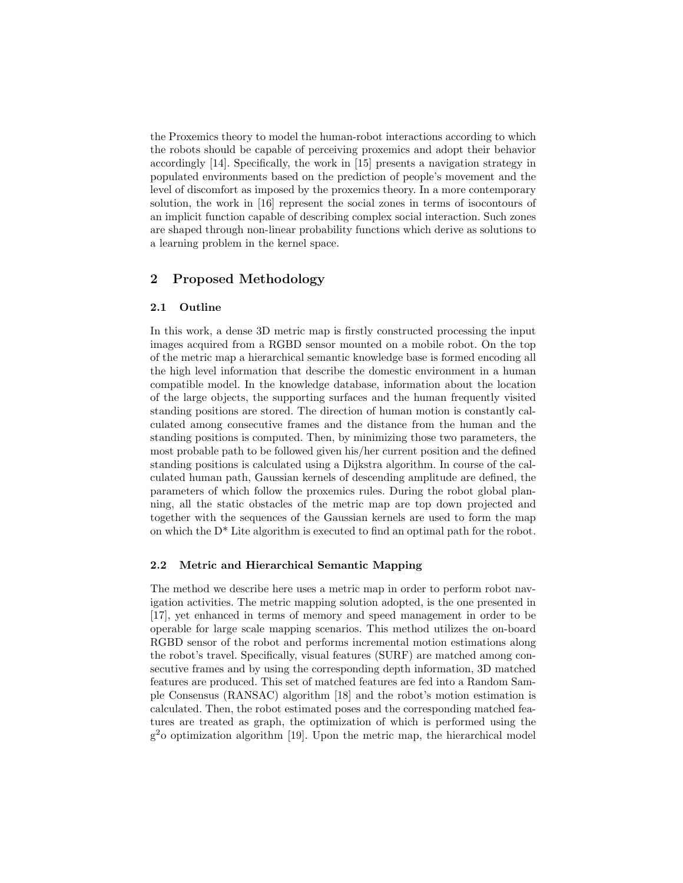the Proxemics theory to model the human-robot interactions according to which the robots should be capable of perceiving proxemics and adopt their behavior accordingly [14]. Specifically, the work in [15] presents a navigation strategy in populated environments based on the prediction of people's movement and the level of discomfort as imposed by the proxemics theory. In a more contemporary solution, the work in [16] represent the social zones in terms of isocontours of an implicit function capable of describing complex social interaction. Such zones are shaped through non-linear probability functions which derive as solutions to a learning problem in the kernel space.

# 2 Proposed Methodology

#### 2.1 Outline

In this work, a dense 3D metric map is firstly constructed processing the input images acquired from a RGBD sensor mounted on a mobile robot. On the top of the metric map a hierarchical semantic knowledge base is formed encoding all the high level information that describe the domestic environment in a human compatible model. In the knowledge database, information about the location of the large objects, the supporting surfaces and the human frequently visited standing positions are stored. The direction of human motion is constantly calculated among consecutive frames and the distance from the human and the standing positions is computed. Then, by minimizing those two parameters, the most probable path to be followed given his/her current position and the defined standing positions is calculated using a Dijkstra algorithm. In course of the calculated human path, Gaussian kernels of descending amplitude are defined, the parameters of which follow the proxemics rules. During the robot global planning, all the static obstacles of the metric map are top down projected and together with the sequences of the Gaussian kernels are used to form the map on which the  $D^*$  Lite algorithm is executed to find an optimal path for the robot.

#### 2.2 Metric and Hierarchical Semantic Mapping

The method we describe here uses a metric map in order to perform robot navigation activities. The metric mapping solution adopted, is the one presented in [17], yet enhanced in terms of memory and speed management in order to be operable for large scale mapping scenarios. This method utilizes the on-board RGBD sensor of the robot and performs incremental motion estimations along the robot's travel. Specifically, visual features (SURF) are matched among consecutive frames and by using the corresponding depth information, 3D matched features are produced. This set of matched features are fed into a Random Sample Consensus (RANSAC) algorithm [18] and the robot's motion estimation is calculated. Then, the robot estimated poses and the corresponding matched features are treated as graph, the optimization of which is performed using the g <sup>2</sup>o optimization algorithm [19]. Upon the metric map, the hierarchical model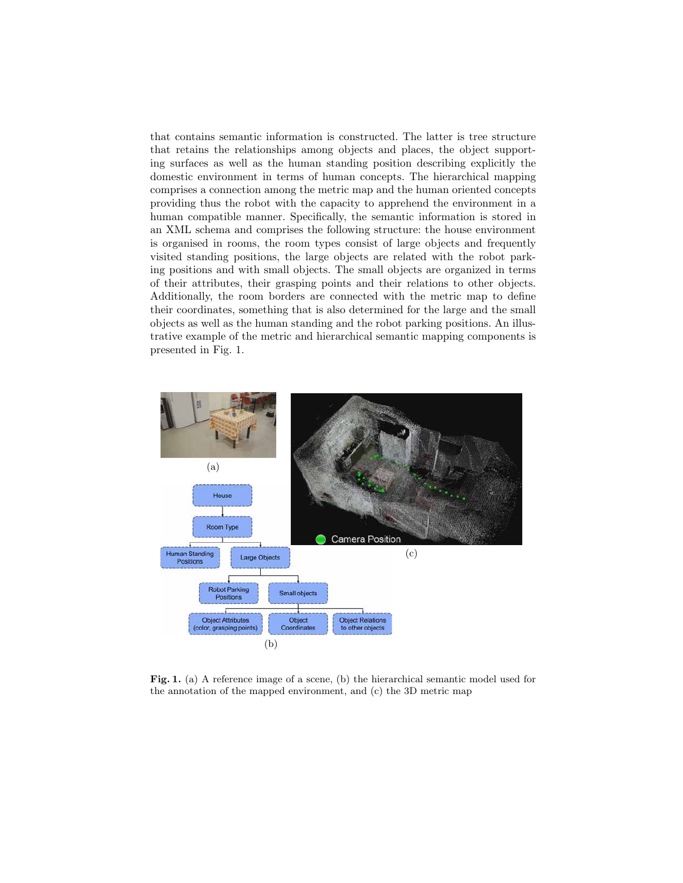that contains semantic information is constructed. The latter is tree structure that retains the relationships among objects and places, the object supporting surfaces as well as the human standing position describing explicitly the domestic environment in terms of human concepts. The hierarchical mapping comprises a connection among the metric map and the human oriented concepts providing thus the robot with the capacity to apprehend the environment in a human compatible manner. Specifically, the semantic information is stored in an XML schema and comprises the following structure: the house environment is organised in rooms, the room types consist of large objects and frequently visited standing positions, the large objects are related with the robot parking positions and with small objects. The small objects are organized in terms of their attributes, their grasping points and their relations to other objects. Additionally, the room borders are connected with the metric map to define their coordinates, something that is also determined for the large and the small objects as well as the human standing and the robot parking positions. An illustrative example of the metric and hierarchical semantic mapping components is presented in Fig. 1.



Fig. 1. (a) A reference image of a scene, (b) the hierarchical semantic model used for the annotation of the mapped environment, and (c) the 3D metric map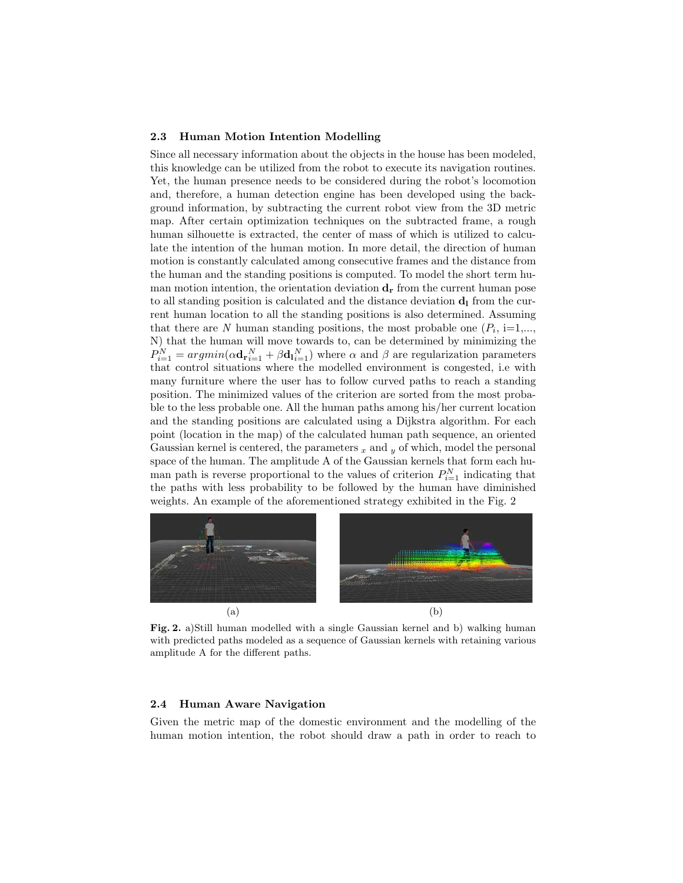#### 2.3 Human Motion Intention Modelling

Since all necessary information about the objects in the house has been modeled, this knowledge can be utilized from the robot to execute its navigation routines. Yet, the human presence needs to be considered during the robot's locomotion and, therefore, a human detection engine has been developed using the background information, by subtracting the current robot view from the 3D metric map. After certain optimization techniques on the subtracted frame, a rough human silhouette is extracted, the center of mass of which is utilized to calculate the intention of the human motion. In more detail, the direction of human motion is constantly calculated among consecutive frames and the distance from the human and the standing positions is computed. To model the short term human motion intention, the orientation deviation  $\mathbf{d}_{\mathbf{r}}$  from the current human pose to all standing position is calculated and the distance deviation  $\mathbf{d}_1$  from the current human location to all the standing positions is also determined. Assuming that there are N human standing positions, the most probable one  $(P_i, i=1,\dots, n)$ N) that the human will move towards to, can be determined by minimizing the  $P_{i=1}^N = argmin(\alpha \mathbf{d}_{\mathbf{r}}^N_{i=1} + \beta \mathbf{d}_{\mathbf{l}}^N_{i=1})$  where  $\alpha$  and  $\beta$  are regularization parameters that control situations where the modelled environment is congested, i.e with many furniture where the user has to follow curved paths to reach a standing position. The minimized values of the criterion are sorted from the most probable to the less probable one. All the human paths among his/her current location and the standing positions are calculated using a Dijkstra algorithm. For each point (location in the map) of the calculated human path sequence, an oriented Gaussian kernel is centered, the parameters  $_x$  and  $_y$  of which, model the personal space of the human. The amplitude A of the Gaussian kernels that form each human path is reverse proportional to the values of criterion  $P_{i=1}^N$  indicating that the paths with less probability to be followed by the human have diminished weights. An example of the aforementioned strategy exhibited in the Fig. 2



Fig. 2. a)Still human modelled with a single Gaussian kernel and b) walking human with predicted paths modeled as a sequence of Gaussian kernels with retaining various amplitude A for the different paths.

#### 2.4 Human Aware Navigation

Given the metric map of the domestic environment and the modelling of the human motion intention, the robot should draw a path in order to reach to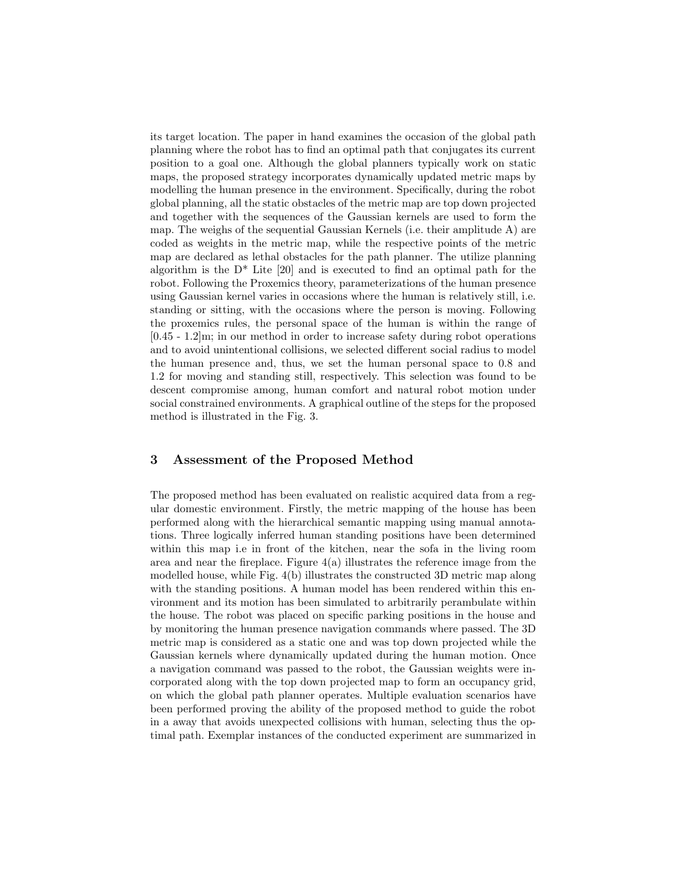its target location. The paper in hand examines the occasion of the global path planning where the robot has to find an optimal path that conjugates its current position to a goal one. Although the global planners typically work on static maps, the proposed strategy incorporates dynamically updated metric maps by modelling the human presence in the environment. Specifically, during the robot global planning, all the static obstacles of the metric map are top down projected and together with the sequences of the Gaussian kernels are used to form the map. The weighs of the sequential Gaussian Kernels (i.e. their amplitude A) are coded as weights in the metric map, while the respective points of the metric map are declared as lethal obstacles for the path planner. The utilize planning algorithm is the D\* Lite [20] and is executed to find an optimal path for the robot. Following the Proxemics theory, parameterizations of the human presence using Gaussian kernel varies in occasions where the human is relatively still, i.e. standing or sitting, with the occasions where the person is moving. Following the proxemics rules, the personal space of the human is within the range of [0.45 - 1.2]m; in our method in order to increase safety during robot operations and to avoid unintentional collisions, we selected different social radius to model the human presence and, thus, we set the human personal space to 0.8 and 1.2 for moving and standing still, respectively. This selection was found to be descent compromise among, human comfort and natural robot motion under social constrained environments. A graphical outline of the steps for the proposed method is illustrated in the Fig. 3.

## 3 Assessment of the Proposed Method

The proposed method has been evaluated on realistic acquired data from a regular domestic environment. Firstly, the metric mapping of the house has been performed along with the hierarchical semantic mapping using manual annotations. Three logically inferred human standing positions have been determined within this map i.e in front of the kitchen, near the sofa in the living room area and near the fireplace. Figure  $4(a)$  illustrates the reference image from the modelled house, while Fig. 4(b) illustrates the constructed 3D metric map along with the standing positions. A human model has been rendered within this environment and its motion has been simulated to arbitrarily perambulate within the house. The robot was placed on specific parking positions in the house and by monitoring the human presence navigation commands where passed. The 3D metric map is considered as a static one and was top down projected while the Gaussian kernels where dynamically updated during the human motion. Once a navigation command was passed to the robot, the Gaussian weights were incorporated along with the top down projected map to form an occupancy grid, on which the global path planner operates. Multiple evaluation scenarios have been performed proving the ability of the proposed method to guide the robot in a away that avoids unexpected collisions with human, selecting thus the optimal path. Exemplar instances of the conducted experiment are summarized in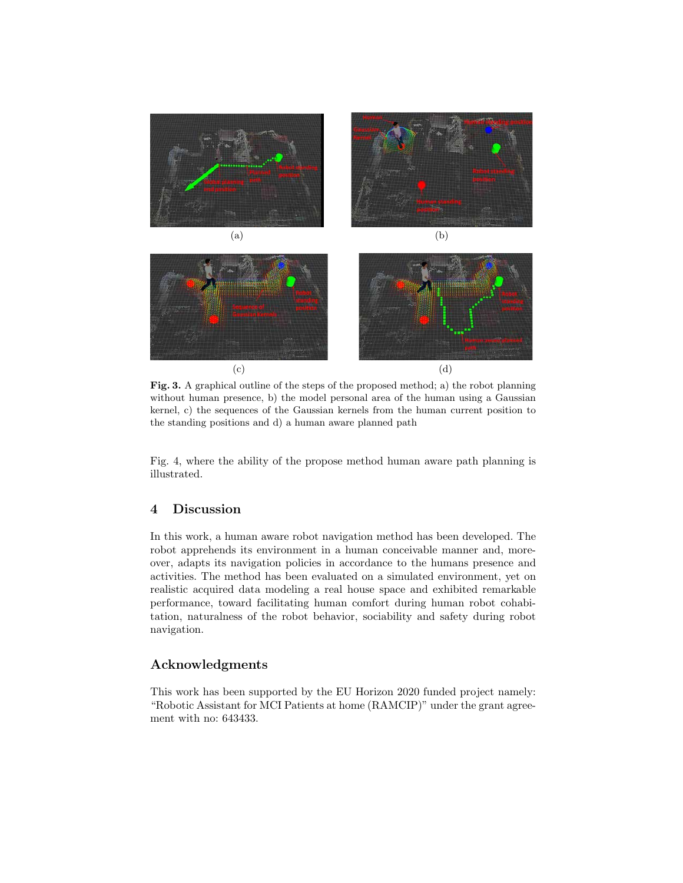

Fig. 3. A graphical outline of the steps of the proposed method; a) the robot planning without human presence, b) the model personal area of the human using a Gaussian kernel, c) the sequences of the Gaussian kernels from the human current position to the standing positions and d) a human aware planned path

Fig. 4, where the ability of the propose method human aware path planning is illustrated.

# 4 Discussion

In this work, a human aware robot navigation method has been developed. The robot apprehends its environment in a human conceivable manner and, moreover, adapts its navigation policies in accordance to the humans presence and activities. The method has been evaluated on a simulated environment, yet on realistic acquired data modeling a real house space and exhibited remarkable performance, toward facilitating human comfort during human robot cohabitation, naturalness of the robot behavior, sociability and safety during robot navigation.

## Acknowledgments

This work has been supported by the EU Horizon 2020 funded project namely: "Robotic Assistant for MCI Patients at home (RAMCIP)" under the grant agreement with no: 643433.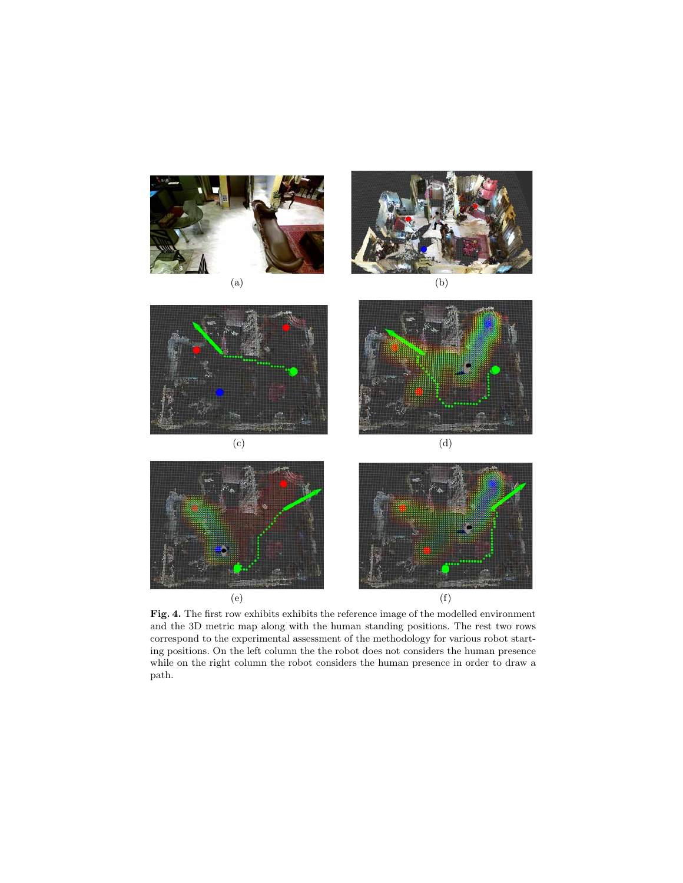

Fig. 4. The first row exhibits exhibits the reference image of the modelled environment and the 3D metric map along with the human standing positions. The rest two rows correspond to the experimental assessment of the methodology for various robot starting positions. On the left column the the robot does not considers the human presence while on the right column the robot considers the human presence in order to draw a path.